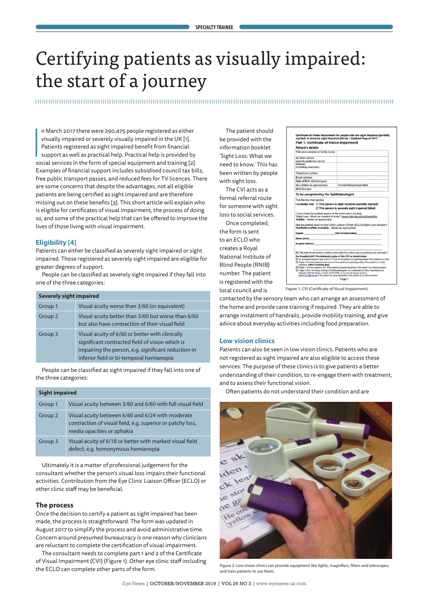# Certifying patients as visually impaired: the start of a journey

 $\begin{bmatrix} 1 \\ 1 \\ 0 \end{bmatrix}$ n March 2017 there were 290,475 people registered as either visually impaired or severely visually impaired in the UK [1]. Patients registered as sight impaired benefit from financial support as well as practical help. Practical help is provided by social services in the form of special equipment and training [2]. Examples of financial support includes subsidised council tax bills, free public transport passes, and reduced fees for TV licences. There are some concerns that despite the advantages, not all eligible patients are being certified as sight impaired and are therefore missing out on these benefits [3]. This short article will explain who is eligible for certificates of visual impairment, the process of doing so, and some of the practical help that can be offered to improve the lives of those living with visual impairment.

# **Eligibility [4]**

Patients can either be classified as severely sight impaired or sight impaired. Those registered as severely sight impaired are eligible for greater degrees of support.

People can be classified as severely sight impaired if they fall into one of the three categories:

| <b>Severely sight impaired</b> |                                                                                                                                                                                                       |
|--------------------------------|-------------------------------------------------------------------------------------------------------------------------------------------------------------------------------------------------------|
| Group 1                        | Visual acuity worse than 3/60 (or equivalent)                                                                                                                                                         |
| Group 2                        | Visual acuity better than 3/60 but worse than 6/60<br>but also have contraction of their visual field                                                                                                 |
| Group 3                        | Visual acuity of 6/60 or better with clinically<br>significant contracted field of vision which is<br>impairing the person, e.g. significant reduction in<br>inferior field or bi-temporal hemianopia |

People can be classified as sight impaired if they fall into one of the three categories:

| <b>Sight impaired</b> |                                                                                                                                               |
|-----------------------|-----------------------------------------------------------------------------------------------------------------------------------------------|
| Group 1               | Visual acuity between 3/60 and 6/60 with full visual field                                                                                    |
| Group 2               | Visual acuity between 6/60 and 6/24 with moderate<br>contraction of visual field, e.g. superior or patchy loss,<br>media opacities or aphakia |
| Group 3               | Visual acuity of 6/18 or better with marked visual field<br>defect, e.g. homonymous hemianopia                                                |

Ultimately it is a matter of professional judgement for the consultant whether the person's visual loss impairs their functional activities. Contribution from the Eye Clinic Liaison Officer (ECLO) or other clinic staff may be beneficial.

## **The process**

Once the decision to certify a patient as sight impaired has been made, the process is straightforward. The form was updated in August 2017 to simplify the process and avoid administrative time. Concern around presumed bureaucracy is one reason why clinicians are reluctant to complete the certification of visual impairment.

The consultant needs to complete part 1 and 2 of the Certificate of Visual Impairment (CVI) (Figure 1). Other eye clinic staff including the ECLO can complete other parts of the form.

The patient should be provided with the information booklet 'Sight Loss: What we need to know.' This has been written by people with sight loss.

The CVI acts as a formal referral route for someone with sight loss to social services.

Once completed, the form is sent to an ECLO who creates a Royal National Institute of Blind People (RNIB) number. The patient is registered with the local council and is

| Title and surname or family name                                                                                                                                                                                                                                |                                                                                                                                                                                                                                                                                                                                                                                   |
|-----------------------------------------------------------------------------------------------------------------------------------------------------------------------------------------------------------------------------------------------------------------|-----------------------------------------------------------------------------------------------------------------------------------------------------------------------------------------------------------------------------------------------------------------------------------------------------------------------------------------------------------------------------------|
| All other names                                                                                                                                                                                                                                                 |                                                                                                                                                                                                                                                                                                                                                                                   |
| (identify preferred name)                                                                                                                                                                                                                                       |                                                                                                                                                                                                                                                                                                                                                                                   |
| <b>Address</b><br>(including postcode)                                                                                                                                                                                                                          |                                                                                                                                                                                                                                                                                                                                                                                   |
| Telephone number                                                                                                                                                                                                                                                |                                                                                                                                                                                                                                                                                                                                                                                   |
| Email address                                                                                                                                                                                                                                                   |                                                                                                                                                                                                                                                                                                                                                                                   |
| Date of Birth (dd/mm/yyyy)                                                                                                                                                                                                                                      |                                                                                                                                                                                                                                                                                                                                                                                   |
| Sex (delete as appropriate)                                                                                                                                                                                                                                     | Female/Male/Unspecified                                                                                                                                                                                                                                                                                                                                                           |
| <b>NHS Number</b>                                                                                                                                                                                                                                               |                                                                                                                                                                                                                                                                                                                                                                                   |
| To be completed by the Ophthalmologist                                                                                                                                                                                                                          |                                                                                                                                                                                                                                                                                                                                                                                   |
| Tick the box that applies                                                                                                                                                                                                                                       |                                                                                                                                                                                                                                                                                                                                                                                   |
|                                                                                                                                                                                                                                                                 | $\Box$ This person is severely sight impaired (blind)<br>"Sight Loss: What we needed to know" (www.mib.org.uk/sightlossinfo)                                                                                                                                                                                                                                                      |
| Yes/No - delete as appropriate                                                                                                                                                                                                                                  | Has the patient seen an Eye Clinic Liaison Officer (ECLO)/Sight Loss Advisor?                                                                                                                                                                                                                                                                                                     |
|                                                                                                                                                                                                                                                                 |                                                                                                                                                                                                                                                                                                                                                                                   |
|                                                                                                                                                                                                                                                                 |                                                                                                                                                                                                                                                                                                                                                                                   |
|                                                                                                                                                                                                                                                                 |                                                                                                                                                                                                                                                                                                                                                                                   |
|                                                                                                                                                                                                                                                                 | NB: the date of examination is taken as the date from which any concessions are calculated                                                                                                                                                                                                                                                                                        |
|                                                                                                                                                                                                                                                                 | An accessible signed copy of the CVI form to the patient (or parent/guardian if the patient is a child).<br>Pages 1-5 to the patient's local council if the patient (or parent/quardian if the patient is a child)                                                                                                                                                                |
| consents, within 5 working days.                                                                                                                                                                                                                                |                                                                                                                                                                                                                                                                                                                                                                                   |
| I have made the patient aware of the information booklet,<br>Yes/Referred/Not available - delete as appropriate<br>Signed Date of examination<br>Name (print)<br><b>Hospital address</b><br>For Hospital staff: Provide/send copies of this CVI as stated below | Pages 1-5 to the patient's GP, if the patient (or parent/guardian if the patient is a child) consents.<br>Pages 1-6 to The Royal College of Ophthalmologists, c/o Certifications Office, Moorfields Eye<br>Hospital, 162 City Road, London, EC1V 2PD, or by nhs.net secure email to<br>meh-tr.CVI@nhs.net if the patient (or parentiguardian if the patient is a child) consents. |

Certificate of Vision Impairment for people who are sight impaired<br>sighted) or severely sight impaired (blind) - Updated August 2017

Figure 1: CVI (Certificate of Visual Impairment).

contacted by the sensory team who can arrange an assessment of the home and provide cane training if required. They are able to arrange instalment of handrails, provide mobility training, and give advice about everyday activities including food preparation.

# **Low vision clinics**

Patients can also be seen in low vision clinics. Patients who are not registered as sight impaired are also eligible to access these services. The purpose of these clinics is to give patients a better understanding of their condition, to re-engage them with treatment, and to assess their functional vision.

Often patients do not understand their condition and are



Figure 2: Low vision clinics can provide equipment like lights, magnifiers, filters and telescopes, and train patients to use them.